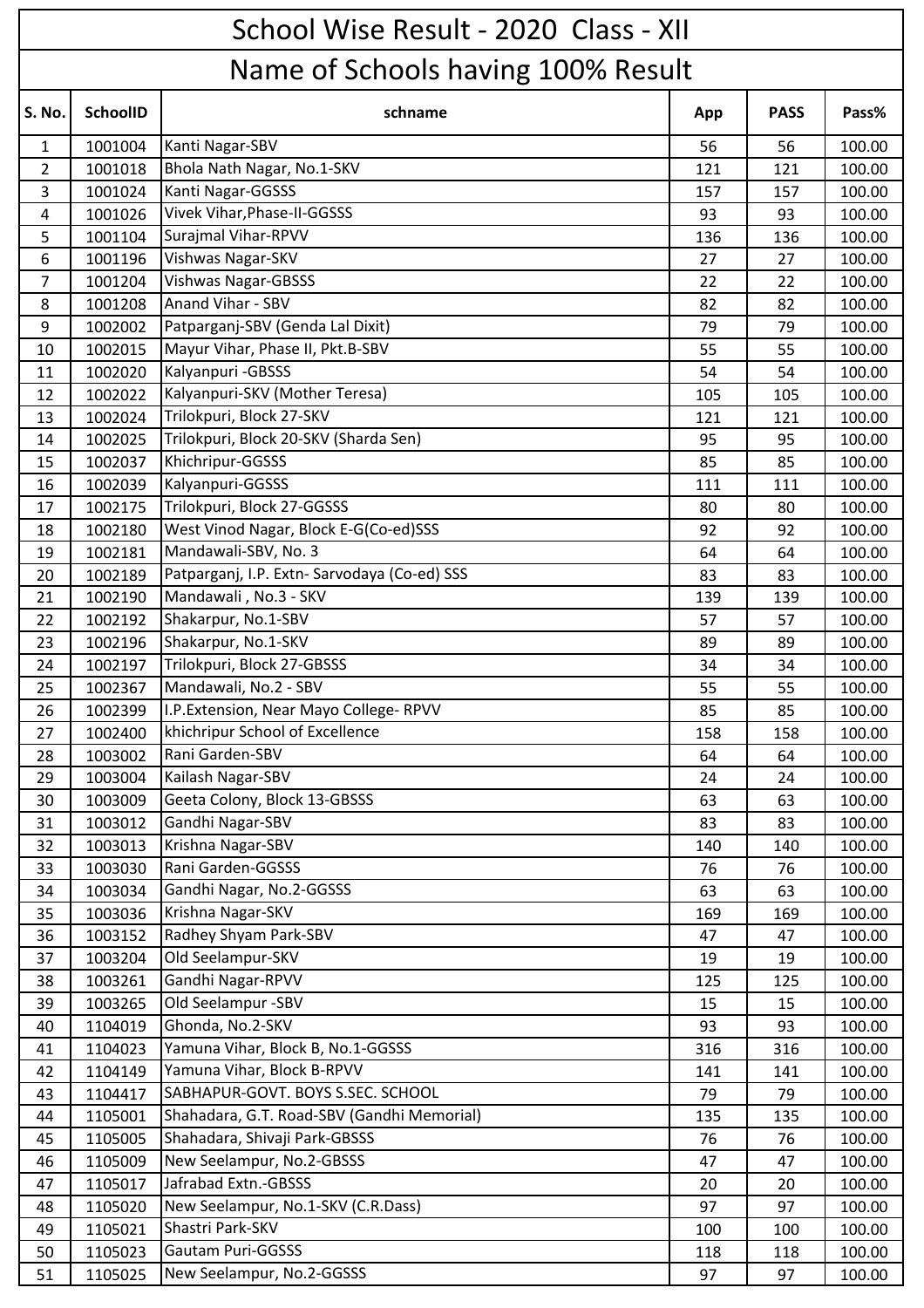|                | School Wise Result - 2020 Class - XII |                                              |     |             |        |  |  |  |
|----------------|---------------------------------------|----------------------------------------------|-----|-------------|--------|--|--|--|
|                | Name of Schools having 100% Result    |                                              |     |             |        |  |  |  |
| S. No.         | <b>SchoolID</b>                       | schname                                      | App | <b>PASS</b> | Pass%  |  |  |  |
| $\mathbf{1}$   | 1001004                               | Kanti Nagar-SBV                              | 56  | 56          | 100.00 |  |  |  |
| $\overline{2}$ | 1001018                               | Bhola Nath Nagar, No.1-SKV                   | 121 | 121         | 100.00 |  |  |  |
| 3              | 1001024                               | Kanti Nagar-GGSSS                            | 157 | 157         | 100.00 |  |  |  |
| 4              | 1001026                               | Vivek Vihar, Phase-II-GGSSS                  | 93  | 93          | 100.00 |  |  |  |
| 5              | 1001104                               | Surajmal Vihar-RPVV                          | 136 | 136         | 100.00 |  |  |  |
| 6              | 1001196                               | Vishwas Nagar-SKV                            | 27  | 27          | 100.00 |  |  |  |
| $\overline{7}$ | 1001204                               | <b>Vishwas Nagar-GBSSS</b>                   | 22  | 22          | 100.00 |  |  |  |
| 8              | 1001208                               | Anand Vihar - SBV                            | 82  | 82          | 100.00 |  |  |  |
| 9              | 1002002                               | Patparganj-SBV (Genda Lal Dixit)             | 79  | 79          | 100.00 |  |  |  |
| 10             | 1002015                               | Mayur Vihar, Phase II, Pkt.B-SBV             | 55  | 55          | 100.00 |  |  |  |
| 11             | 1002020                               | Kalyanpuri - GBSSS                           | 54  | 54          | 100.00 |  |  |  |
| 12             | 1002022                               | Kalyanpuri-SKV (Mother Teresa)               | 105 | 105         | 100.00 |  |  |  |
| 13             | 1002024                               | Trilokpuri, Block 27-SKV                     | 121 | 121         | 100.00 |  |  |  |
| 14             | 1002025                               | Trilokpuri, Block 20-SKV (Sharda Sen)        | 95  | 95          | 100.00 |  |  |  |
| 15             | 1002037                               | Khichripur-GGSSS                             | 85  | 85          | 100.00 |  |  |  |
| 16             | 1002039                               | Kalyanpuri-GGSSS                             | 111 | 111         | 100.00 |  |  |  |
| 17             | 1002175                               | Trilokpuri, Block 27-GGSSS                   | 80  | 80          | 100.00 |  |  |  |
| 18             | 1002180                               | West Vinod Nagar, Block E-G(Co-ed)SSS        | 92  | 92          | 100.00 |  |  |  |
| 19             | 1002181                               | Mandawali-SBV, No. 3                         | 64  | 64          | 100.00 |  |  |  |
| 20             | 1002189                               | Patparganj, I.P. Extn- Sarvodaya (Co-ed) SSS | 83  | 83          | 100.00 |  |  |  |
| 21             | 1002190                               | Mandawali, No.3 - SKV                        | 139 | 139         | 100.00 |  |  |  |
| 22             | 1002192                               | Shakarpur, No.1-SBV                          | 57  | 57          | 100.00 |  |  |  |
| 23             | 1002196                               | Shakarpur, No.1-SKV                          | 89  | 89          | 100.00 |  |  |  |
| 24             | 1002197                               | Trilokpuri, Block 27-GBSSS                   | 34  | 34          | 100.00 |  |  |  |
| 25             | 1002367                               | Mandawali, No.2 - SBV                        | 55  | 55          | 100.00 |  |  |  |
| 26             | 1002399                               | I.P. Extension, Near Mayo College-RPVV       | 85  | 85          | 100.00 |  |  |  |
| 27             | 1002400                               | khichripur School of Excellence              | 158 | 158         | 100.00 |  |  |  |
| 28             | 1003002                               | Rani Garden-SBV                              | 64  | 64          | 100.00 |  |  |  |
| 29             | 1003004                               | Kailash Nagar-SBV                            | 24  | 24          | 100.00 |  |  |  |
| 30             | 1003009                               | Geeta Colony, Block 13-GBSSS                 | 63  | 63          | 100.00 |  |  |  |
| 31             | 1003012                               | Gandhi Nagar-SBV                             | 83  | 83          | 100.00 |  |  |  |
| 32             | 1003013                               | Krishna Nagar-SBV                            | 140 | 140         | 100.00 |  |  |  |
| 33             | 1003030                               | Rani Garden-GGSSS                            | 76  | 76          | 100.00 |  |  |  |
| 34             | 1003034                               | Gandhi Nagar, No.2-GGSSS                     | 63  | 63          | 100.00 |  |  |  |
| 35             | 1003036                               | Krishna Nagar-SKV                            | 169 | 169         | 100.00 |  |  |  |
| 36             | 1003152                               | Radhey Shyam Park-SBV                        | 47  | 47          | 100.00 |  |  |  |
| 37             | 1003204                               | Old Seelampur-SKV                            | 19  | 19          | 100.00 |  |  |  |
| 38             | 1003261                               | Gandhi Nagar-RPVV                            | 125 | 125         | 100.00 |  |  |  |
| 39             | 1003265                               | Old Seelampur -SBV                           | 15  | 15          | 100.00 |  |  |  |
| 40             | 1104019                               | Ghonda, No.2-SKV                             | 93  | 93          | 100.00 |  |  |  |
| 41             | 1104023                               | Yamuna Vihar, Block B, No.1-GGSSS            | 316 | 316         | 100.00 |  |  |  |
| 42             | 1104149                               | Yamuna Vihar, Block B-RPVV                   | 141 | 141         | 100.00 |  |  |  |
| 43             | 1104417                               | SABHAPUR-GOVT. BOYS S.SEC. SCHOOL            | 79  | 79          | 100.00 |  |  |  |
| 44             | 1105001                               | Shahadara, G.T. Road-SBV (Gandhi Memorial)   | 135 | 135         | 100.00 |  |  |  |
| 45             | 1105005                               | Shahadara, Shivaji Park-GBSSS                | 76  | 76          | 100.00 |  |  |  |
| 46             | 1105009                               | New Seelampur, No.2-GBSSS                    | 47  | 47          | 100.00 |  |  |  |
| 47             | 1105017                               | Jafrabad Extn.-GBSSS                         | 20  | 20          | 100.00 |  |  |  |
| 48             | 1105020                               | New Seelampur, No.1-SKV (C.R.Dass)           | 97  | 97          | 100.00 |  |  |  |
| 49             | 1105021                               | Shastri Park-SKV                             | 100 | 100         | 100.00 |  |  |  |
| 50             | 1105023                               | Gautam Puri-GGSSS                            | 118 | 118         | 100.00 |  |  |  |
| 51             | 1105025                               | New Seelampur, No.2-GGSSS                    | 97  | 97          | 100.00 |  |  |  |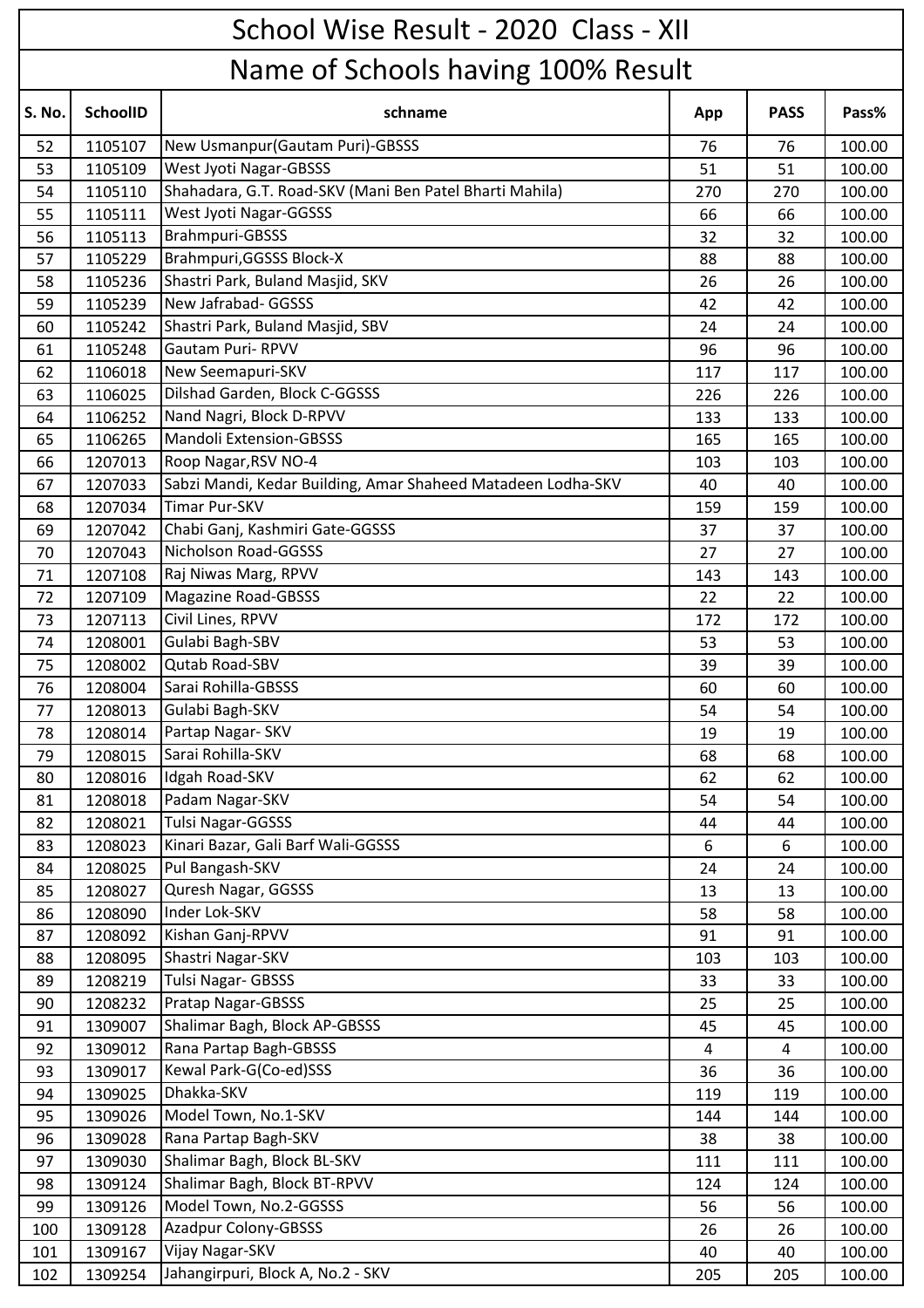|        | School Wise Result - 2020 Class - XII |                                                              |     |             |        |  |  |  |
|--------|---------------------------------------|--------------------------------------------------------------|-----|-------------|--------|--|--|--|
|        | Name of Schools having 100% Result    |                                                              |     |             |        |  |  |  |
| S. No. | <b>SchoolID</b>                       | schname                                                      | App | <b>PASS</b> | Pass%  |  |  |  |
| 52     | 1105107                               | New Usmanpur (Gautam Puri)-GBSSS                             | 76  | 76          | 100.00 |  |  |  |
| 53     | 1105109                               | <b>West Jyoti Nagar-GBSSS</b>                                | 51  | 51          | 100.00 |  |  |  |
| 54     | 1105110                               | Shahadara, G.T. Road-SKV (Mani Ben Patel Bharti Mahila)      | 270 | 270         | 100.00 |  |  |  |
| 55     | 1105111                               | West Jyoti Nagar-GGSSS                                       | 66  | 66          | 100.00 |  |  |  |
| 56     | 1105113                               | Brahmpuri-GBSSS                                              | 32  | 32          | 100.00 |  |  |  |
| 57     | 1105229                               | Brahmpuri, GGSSS Block-X                                     | 88  | 88          | 100.00 |  |  |  |
| 58     | 1105236                               | Shastri Park, Buland Masjid, SKV                             | 26  | 26          | 100.00 |  |  |  |
| 59     | 1105239                               | New Jafrabad- GGSSS                                          | 42  | 42          | 100.00 |  |  |  |
| 60     | 1105242                               | Shastri Park, Buland Masjid, SBV                             | 24  | 24          | 100.00 |  |  |  |
| 61     | 1105248                               | <b>Gautam Puri- RPVV</b>                                     | 96  | 96          | 100.00 |  |  |  |
| 62     | 1106018                               | New Seemapuri-SKV                                            | 117 | 117         | 100.00 |  |  |  |
| 63     | 1106025                               | Dilshad Garden, Block C-GGSSS                                | 226 | 226         | 100.00 |  |  |  |
| 64     | 1106252                               | Nand Nagri, Block D-RPVV                                     | 133 | 133         | 100.00 |  |  |  |
| 65     | 1106265                               | <b>Mandoli Extension-GBSSS</b>                               | 165 | 165         | 100.00 |  |  |  |
| 66     | 1207013                               | Roop Nagar, RSV NO-4                                         | 103 | 103         | 100.00 |  |  |  |
| 67     | 1207033                               | Sabzi Mandi, Kedar Building, Amar Shaheed Matadeen Lodha-SKV | 40  | 40          | 100.00 |  |  |  |
| 68     | 1207034                               | <b>Timar Pur-SKV</b>                                         | 159 | 159         | 100.00 |  |  |  |
| 69     | 1207042                               | Chabi Ganj, Kashmiri Gate-GGSSS                              | 37  | 37          | 100.00 |  |  |  |
| 70     | 1207043                               | Nicholson Road-GGSSS                                         | 27  | 27          | 100.00 |  |  |  |
| 71     | 1207108                               | Raj Niwas Marg, RPVV                                         | 143 | 143         | 100.00 |  |  |  |
| 72     | 1207109                               | <b>Magazine Road-GBSSS</b>                                   | 22  | 22          | 100.00 |  |  |  |
| 73     | 1207113                               | Civil Lines, RPVV                                            | 172 | 172         | 100.00 |  |  |  |
| 74     | 1208001                               | Gulabi Bagh-SBV                                              | 53  | 53          | 100.00 |  |  |  |
| 75     | 1208002                               | Qutab Road-SBV                                               | 39  | 39          | 100.00 |  |  |  |
| 76     | 1208004                               | Sarai Rohilla-GBSSS                                          | 60  | 60          | 100.00 |  |  |  |
| 77     | 1208013                               | Gulabi Bagh-SKV                                              | 54  | 54          | 100.00 |  |  |  |
| 78     | 1208014                               | Partap Nagar- SKV                                            | 19  | 19          | 100.00 |  |  |  |
| 79     | 1208015                               | Sarai Rohilla-SKV                                            | 68  | 68          | 100.00 |  |  |  |
| 80     | 1208016                               | Idgah Road-SKV                                               | 62  | 62          | 100.00 |  |  |  |
| 81     | 1208018                               | Padam Nagar-SKV                                              | 54  | 54          | 100.00 |  |  |  |
| 82     | 1208021                               | <b>Tulsi Nagar-GGSSS</b>                                     | 44  | 44          | 100.00 |  |  |  |
| 83     | 1208023                               | Kinari Bazar, Gali Barf Wali-GGSSS                           | 6   | 6           | 100.00 |  |  |  |
| 84     | 1208025                               | Pul Bangash-SKV                                              | 24  | 24          | 100.00 |  |  |  |
| 85     | 1208027                               | Quresh Nagar, GGSSS                                          | 13  | 13          | 100.00 |  |  |  |
| 86     | 1208090                               | Inder Lok-SKV                                                | 58  | 58          | 100.00 |  |  |  |
| 87     | 1208092                               | Kishan Ganj-RPVV                                             | 91  | 91          | 100.00 |  |  |  |
| 88     | 1208095                               | Shastri Nagar-SKV                                            | 103 | 103         | 100.00 |  |  |  |
| 89     | 1208219                               | Tulsi Nagar- GBSSS                                           | 33  | 33          | 100.00 |  |  |  |
| 90     | 1208232                               | Pratap Nagar-GBSSS                                           | 25  | 25          | 100.00 |  |  |  |
| 91     | 1309007                               | Shalimar Bagh, Block AP-GBSSS                                | 45  | 45          | 100.00 |  |  |  |
| 92     | 1309012                               | Rana Partap Bagh-GBSSS                                       | 4   | 4           | 100.00 |  |  |  |
| 93     | 1309017                               | Kewal Park-G(Co-ed)SSS                                       | 36  | 36          | 100.00 |  |  |  |
| 94     | 1309025                               | Dhakka-SKV                                                   | 119 | 119         | 100.00 |  |  |  |
| 95     | 1309026                               | Model Town, No.1-SKV                                         | 144 | 144         | 100.00 |  |  |  |
| 96     | 1309028                               | Rana Partap Bagh-SKV                                         | 38  | 38          | 100.00 |  |  |  |
| 97     | 1309030                               | Shalimar Bagh, Block BL-SKV                                  | 111 | 111         | 100.00 |  |  |  |
| 98     | 1309124                               | Shalimar Bagh, Block BT-RPVV                                 | 124 | 124         | 100.00 |  |  |  |
| 99     | 1309126                               | Model Town, No.2-GGSSS                                       | 56  | 56          | 100.00 |  |  |  |
| 100    | 1309128                               | <b>Azadpur Colony-GBSSS</b>                                  | 26  | 26          | 100.00 |  |  |  |
| 101    | 1309167                               | Vijay Nagar-SKV                                              | 40  | 40          | 100.00 |  |  |  |
| 102    | 1309254                               | Jahangirpuri, Block A, No.2 - SKV                            | 205 | 205         | 100.00 |  |  |  |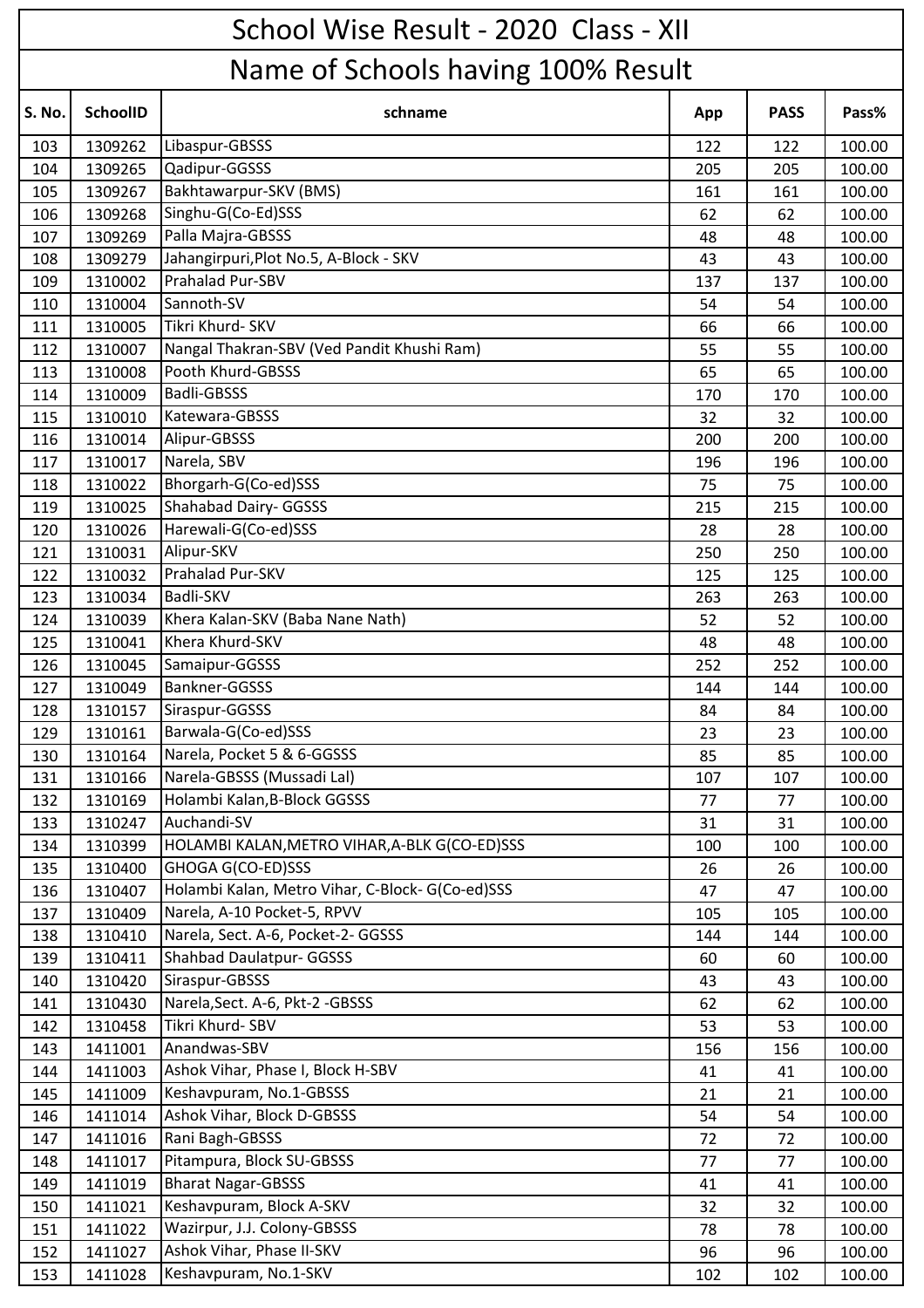|               | School Wise Result - 2020 Class - XII |                                                  |     |             |        |  |  |  |
|---------------|---------------------------------------|--------------------------------------------------|-----|-------------|--------|--|--|--|
|               | Name of Schools having 100% Result    |                                                  |     |             |        |  |  |  |
| <b>S. No.</b> | <b>SchoolID</b>                       | schname                                          | App | <b>PASS</b> | Pass%  |  |  |  |
| 103           | 1309262                               | Libaspur-GBSSS                                   | 122 | 122         | 100.00 |  |  |  |
| 104           | 1309265                               | Qadipur-GGSSS                                    | 205 | 205         | 100.00 |  |  |  |
| 105           | 1309267                               | Bakhtawarpur-SKV (BMS)                           | 161 | 161         | 100.00 |  |  |  |
| 106           | 1309268                               | Singhu-G(Co-Ed)SSS                               | 62  | 62          | 100.00 |  |  |  |
| 107           | 1309269                               | Palla Majra-GBSSS                                | 48  | 48          | 100.00 |  |  |  |
| 108           | 1309279                               | Jahangirpuri, Plot No.5, A-Block - SKV           | 43  | 43          | 100.00 |  |  |  |
| 109           | 1310002                               | Prahalad Pur-SBV                                 | 137 | 137         | 100.00 |  |  |  |
| 110           | 1310004                               | Sannoth-SV                                       | 54  | 54          | 100.00 |  |  |  |
| 111           | 1310005                               | Tikri Khurd- SKV                                 | 66  | 66          | 100.00 |  |  |  |
| 112           | 1310007                               | Nangal Thakran-SBV (Ved Pandit Khushi Ram)       | 55  | 55          | 100.00 |  |  |  |
| 113           | 1310008                               | Pooth Khurd-GBSSS                                | 65  | 65          | 100.00 |  |  |  |
| 114           | 1310009                               | <b>Badli-GBSSS</b>                               | 170 | 170         | 100.00 |  |  |  |
| 115           | 1310010                               | Katewara-GBSSS                                   | 32  | 32          | 100.00 |  |  |  |
| 116           | 1310014                               | Alipur-GBSSS                                     | 200 | 200         | 100.00 |  |  |  |
| 117           | 1310017                               | Narela, SBV                                      | 196 | 196         | 100.00 |  |  |  |
| 118           | 1310022                               | Bhorgarh-G(Co-ed)SSS                             | 75  | 75          | 100.00 |  |  |  |
| 119           | 1310025                               | Shahabad Dairy- GGSSS                            | 215 | 215         | 100.00 |  |  |  |
| 120           | 1310026                               | Harewali-G(Co-ed)SSS                             | 28  | 28          | 100.00 |  |  |  |
| 121           | 1310031                               | Alipur-SKV                                       | 250 | 250         | 100.00 |  |  |  |
| 122           | 1310032                               | Prahalad Pur-SKV                                 | 125 | 125         | 100.00 |  |  |  |
| 123           | 1310034                               | Badli-SKV                                        | 263 | 263         | 100.00 |  |  |  |
| 124           | 1310039                               | Khera Kalan-SKV (Baba Nane Nath)                 | 52  | 52          | 100.00 |  |  |  |
| 125           | 1310041                               | Khera Khurd-SKV                                  | 48  | 48          | 100.00 |  |  |  |
| 126           | 1310045                               | Samaipur-GGSSS                                   | 252 | 252         | 100.00 |  |  |  |
| 127           | 1310049                               | <b>Bankner-GGSSS</b>                             | 144 | 144         | 100.00 |  |  |  |
| 128           | 1310157                               | Siraspur-GGSSS                                   | 84  | 84          | 100.00 |  |  |  |
| 129           | 1310161                               | Barwala-G(Co-ed)SSS                              | 23  | 23          | 100.00 |  |  |  |
| 130           | 1310164                               | Narela, Pocket 5 & 6-GGSSS                       | 85  | 85          | 100.00 |  |  |  |
| 131           | 1310166                               | Narela-GBSSS (Mussadi Lal)                       | 107 | 107         | 100.00 |  |  |  |
| 132           | 1310169                               | Holambi Kalan, B-Block GGSSS                     | 77  | 77          | 100.00 |  |  |  |
| 133           | 1310247                               | Auchandi-SV                                      | 31  | 31          | 100.00 |  |  |  |
| 134           | 1310399                               | HOLAMBI KALAN, METRO VIHAR, A-BLK G(CO-ED)SSS    | 100 | 100         | 100.00 |  |  |  |
| 135           | 1310400                               | GHOGA G(CO-ED)SSS                                | 26  | 26          | 100.00 |  |  |  |
| 136           | 1310407                               | Holambi Kalan, Metro Vihar, C-Block- G(Co-ed)SSS | 47  | 47          | 100.00 |  |  |  |
| 137           | 1310409                               | Narela, A-10 Pocket-5, RPVV                      | 105 | 105         | 100.00 |  |  |  |
| 138           | 1310410                               | Narela, Sect. A-6, Pocket-2- GGSSS               | 144 | 144         | 100.00 |  |  |  |
| 139           | 1310411                               | <b>Shahbad Daulatpur- GGSSS</b>                  | 60  | 60          | 100.00 |  |  |  |
| 140           | 1310420                               | Siraspur-GBSSS                                   | 43  | 43          | 100.00 |  |  |  |
| 141           | 1310430                               | Narela, Sect. A-6, Pkt-2 - GBSSS                 | 62  | 62          | 100.00 |  |  |  |
| 142           | 1310458                               | Tikri Khurd- SBV                                 | 53  | 53          | 100.00 |  |  |  |
| 143           | 1411001                               | Anandwas-SBV                                     | 156 | 156         | 100.00 |  |  |  |
| 144           | 1411003                               | Ashok Vihar, Phase I, Block H-SBV                | 41  | 41          | 100.00 |  |  |  |
| 145           | 1411009                               | Keshavpuram, No.1-GBSSS                          | 21  | 21          | 100.00 |  |  |  |
| 146           | 1411014                               | Ashok Vihar, Block D-GBSSS                       | 54  | 54          | 100.00 |  |  |  |
| 147           | 1411016                               | Rani Bagh-GBSSS                                  | 72  | 72          | 100.00 |  |  |  |
| 148           | 1411017                               | Pitampura, Block SU-GBSSS                        | 77  | 77          | 100.00 |  |  |  |
| 149           | 1411019                               | <b>Bharat Nagar-GBSSS</b>                        | 41  | 41          | 100.00 |  |  |  |
| 150           | 1411021                               | Keshavpuram, Block A-SKV                         | 32  | 32          | 100.00 |  |  |  |
| 151           | 1411022                               | Wazirpur, J.J. Colony-GBSSS                      | 78  | 78          | 100.00 |  |  |  |
| 152           | 1411027                               | Ashok Vihar, Phase II-SKV                        | 96  | 96          | 100.00 |  |  |  |
| 153           | 1411028                               | Keshavpuram, No.1-SKV                            | 102 | 102         | 100.00 |  |  |  |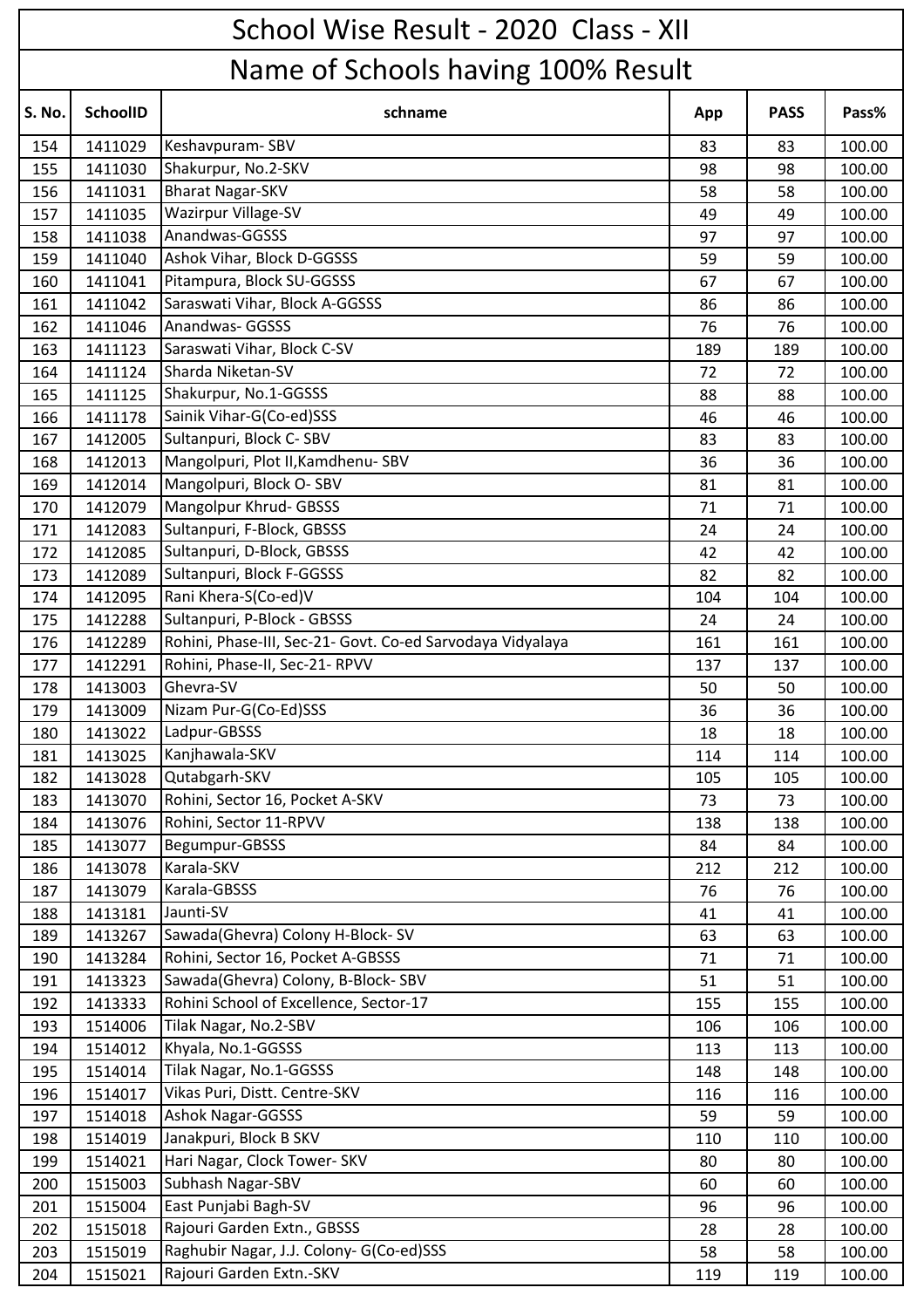|               | School Wise Result - 2020 Class - XII |                                                            |     |             |        |  |  |  |
|---------------|---------------------------------------|------------------------------------------------------------|-----|-------------|--------|--|--|--|
|               | Name of Schools having 100% Result    |                                                            |     |             |        |  |  |  |
| <b>S. No.</b> | <b>SchoolID</b>                       | schname                                                    | App | <b>PASS</b> | Pass%  |  |  |  |
| 154           | 1411029                               | Keshavpuram-SBV                                            | 83  | 83          | 100.00 |  |  |  |
| 155           | 1411030                               | Shakurpur, No.2-SKV                                        | 98  | 98          | 100.00 |  |  |  |
| 156           | 1411031                               | <b>Bharat Nagar-SKV</b>                                    | 58  | 58          | 100.00 |  |  |  |
| 157           | 1411035                               | Wazirpur Village-SV                                        | 49  | 49          | 100.00 |  |  |  |
| 158           | 1411038                               | Anandwas-GGSSS                                             | 97  | 97          | 100.00 |  |  |  |
| 159           | 1411040                               | Ashok Vihar, Block D-GGSSS                                 | 59  | 59          | 100.00 |  |  |  |
| 160           | 1411041                               | Pitampura, Block SU-GGSSS                                  | 67  | 67          | 100.00 |  |  |  |
| 161           | 1411042                               | Saraswati Vihar, Block A-GGSSS                             | 86  | 86          | 100.00 |  |  |  |
| 162           | 1411046                               | Anandwas- GGSSS                                            | 76  | 76          | 100.00 |  |  |  |
| 163           | 1411123                               | Saraswati Vihar, Block C-SV                                | 189 | 189         | 100.00 |  |  |  |
| 164           | 1411124                               | Sharda Niketan-SV                                          | 72  | 72          | 100.00 |  |  |  |
| 165           | 1411125                               | Shakurpur, No.1-GGSSS                                      | 88  | 88          | 100.00 |  |  |  |
| 166           | 1411178                               | Sainik Vihar-G(Co-ed)SSS                                   | 46  | 46          | 100.00 |  |  |  |
| 167           | 1412005                               | Sultanpuri, Block C-SBV                                    | 83  | 83          | 100.00 |  |  |  |
| 168           | 1412013                               | Mangolpuri, Plot II, Kamdhenu-SBV                          | 36  | 36          | 100.00 |  |  |  |
| 169           | 1412014                               | Mangolpuri, Block O-SBV                                    | 81  | 81          | 100.00 |  |  |  |
| 170           | 1412079                               | Mangolpur Khrud- GBSSS                                     | 71  | 71          | 100.00 |  |  |  |
| 171           | 1412083                               | Sultanpuri, F-Block, GBSSS                                 | 24  | 24          | 100.00 |  |  |  |
| 172           | 1412085                               | Sultanpuri, D-Block, GBSSS                                 | 42  | 42          | 100.00 |  |  |  |
| 173           | 1412089                               | Sultanpuri, Block F-GGSSS                                  | 82  | 82          | 100.00 |  |  |  |
| 174           | 1412095                               | Rani Khera-S(Co-ed)V                                       | 104 | 104         | 100.00 |  |  |  |
| 175           | 1412288                               | Sultanpuri, P-Block - GBSSS                                | 24  | 24          | 100.00 |  |  |  |
| 176           | 1412289                               | Rohini, Phase-III, Sec-21- Govt. Co-ed Sarvodaya Vidyalaya | 161 | 161         | 100.00 |  |  |  |
| 177           | 1412291                               | Rohini, Phase-II, Sec-21- RPVV                             | 137 | 137         | 100.00 |  |  |  |
| 178           | 1413003                               | Ghevra-SV                                                  | 50  | 50          | 100.00 |  |  |  |
| 179           | 1413009                               | Nizam Pur-G(Co-Ed)SSS                                      | 36  | 36          | 100.00 |  |  |  |
| 180           | 1413022                               | Ladpur-GBSSS                                               | 18  | 18          | 100.00 |  |  |  |
| 181           | 1413025                               | Kanjhawala-SKV                                             | 114 | 114         | 100.00 |  |  |  |
| 182           | 1413028                               | Qutabgarh-SKV                                              | 105 | 105         | 100.00 |  |  |  |
| 183           | 1413070                               | Rohini, Sector 16, Pocket A-SKV                            | 73  | 73          | 100.00 |  |  |  |
| 184           | 1413076                               | Rohini, Sector 11-RPVV                                     | 138 | 138         | 100.00 |  |  |  |
| 185           | 1413077                               | Begumpur-GBSSS                                             | 84  | 84          | 100.00 |  |  |  |
| 186           | 1413078                               | Karala-SKV                                                 | 212 | 212         | 100.00 |  |  |  |
| 187           | 1413079                               | Karala-GBSSS                                               | 76  | 76          | 100.00 |  |  |  |
| 188           | 1413181                               | Jaunti-SV                                                  | 41  | 41          | 100.00 |  |  |  |
| 189           | 1413267                               | Sawada(Ghevra) Colony H-Block-SV                           | 63  | 63          | 100.00 |  |  |  |
| 190           | 1413284                               | Rohini, Sector 16, Pocket A-GBSSS                          | 71  | 71          | 100.00 |  |  |  |
| 191           | 1413323                               | Sawada(Ghevra) Colony, B-Block-SBV                         | 51  | 51          | 100.00 |  |  |  |
| 192           | 1413333                               | Rohini School of Excellence, Sector-17                     | 155 | 155         | 100.00 |  |  |  |
| 193           | 1514006                               | Tilak Nagar, No.2-SBV                                      | 106 | 106         | 100.00 |  |  |  |
| 194           | 1514012                               | Khyala, No.1-GGSSS                                         | 113 | 113         | 100.00 |  |  |  |
| 195           | 1514014                               | Tilak Nagar, No.1-GGSSS                                    | 148 | 148         | 100.00 |  |  |  |
| 196           | 1514017                               | Vikas Puri, Distt. Centre-SKV                              | 116 | 116         | 100.00 |  |  |  |
| 197           | 1514018                               | <b>Ashok Nagar-GGSSS</b>                                   | 59  | 59          | 100.00 |  |  |  |
| 198           | 1514019                               | Janakpuri, Block B SKV                                     | 110 | 110         | 100.00 |  |  |  |
| 199           | 1514021                               | Hari Nagar, Clock Tower- SKV                               | 80  | 80          | 100.00 |  |  |  |
| 200           | 1515003                               | Subhash Nagar-SBV                                          | 60  | 60          | 100.00 |  |  |  |
| 201           | 1515004                               | East Punjabi Bagh-SV                                       | 96  | 96          | 100.00 |  |  |  |
| 202           | 1515018                               | Rajouri Garden Extn., GBSSS                                | 28  | 28          | 100.00 |  |  |  |
| 203           | 1515019                               | Raghubir Nagar, J.J. Colony- G(Co-ed)SSS                   | 58  | 58          | 100.00 |  |  |  |
| 204           | 1515021                               | Rajouri Garden Extn.-SKV                                   | 119 | 119         | 100.00 |  |  |  |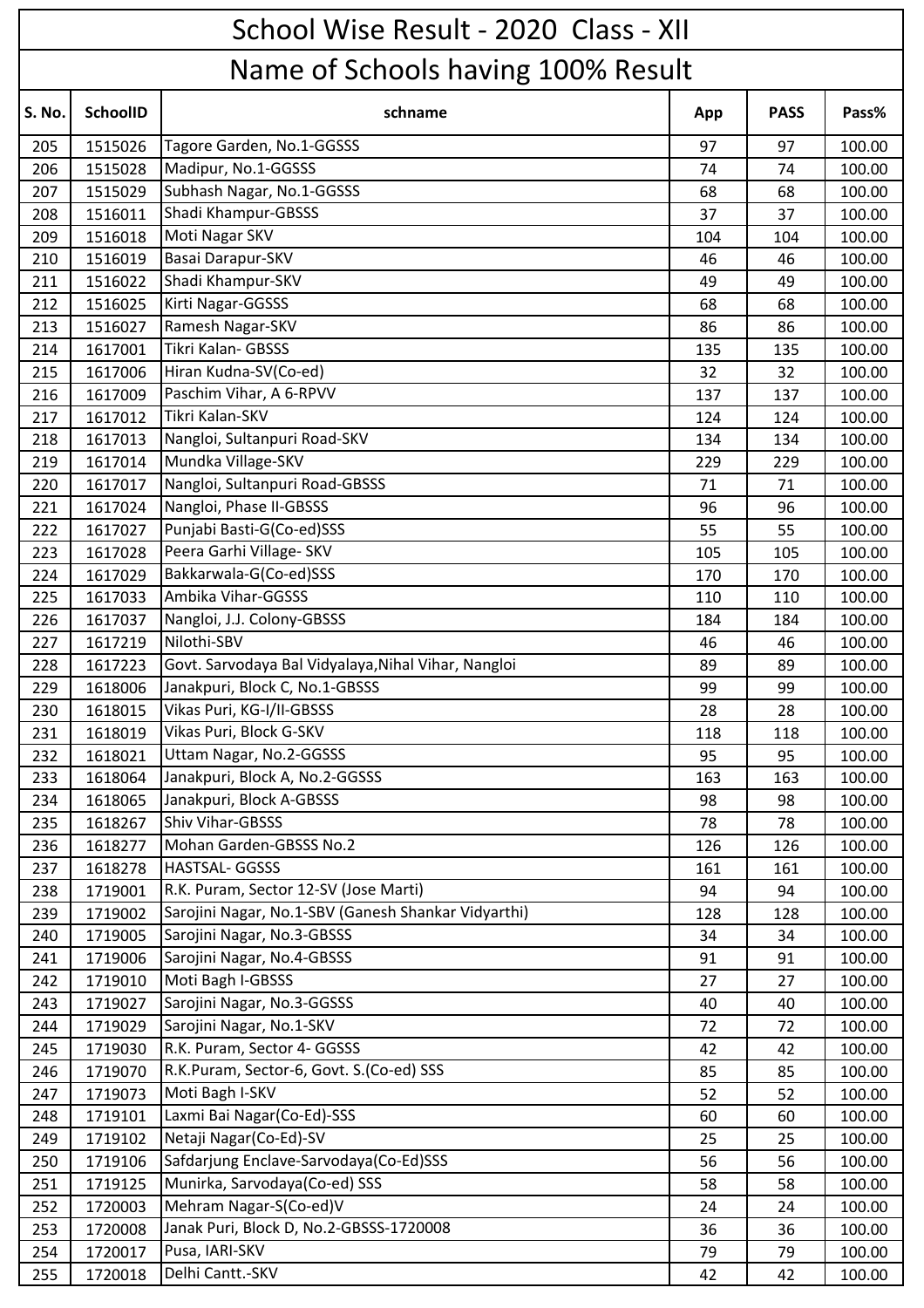|        | School Wise Result - 2020 Class - XII |                                                     |     |             |        |  |  |  |
|--------|---------------------------------------|-----------------------------------------------------|-----|-------------|--------|--|--|--|
|        | Name of Schools having 100% Result    |                                                     |     |             |        |  |  |  |
| S. No. | <b>SchoolID</b>                       | schname                                             | App | <b>PASS</b> | Pass%  |  |  |  |
| 205    | 1515026                               | Tagore Garden, No.1-GGSSS                           | 97  | 97          | 100.00 |  |  |  |
| 206    | 1515028                               | Madipur, No.1-GGSSS                                 | 74  | 74          | 100.00 |  |  |  |
| 207    | 1515029                               | Subhash Nagar, No.1-GGSSS                           | 68  | 68          | 100.00 |  |  |  |
| 208    | 1516011                               | Shadi Khampur-GBSSS                                 | 37  | 37          | 100.00 |  |  |  |
| 209    | 1516018                               | Moti Nagar SKV                                      | 104 | 104         | 100.00 |  |  |  |
| 210    | 1516019                               | Basai Darapur-SKV                                   | 46  | 46          | 100.00 |  |  |  |
| 211    | 1516022                               | Shadi Khampur-SKV                                   | 49  | 49          | 100.00 |  |  |  |
| 212    | 1516025                               | Kirti Nagar-GGSSS                                   | 68  | 68          | 100.00 |  |  |  |
| 213    | 1516027                               | Ramesh Nagar-SKV                                    | 86  | 86          | 100.00 |  |  |  |
| 214    | 1617001                               | Tikri Kalan- GBSSS                                  | 135 | 135         | 100.00 |  |  |  |
| 215    | 1617006                               | Hiran Kudna-SV(Co-ed)                               | 32  | 32          | 100.00 |  |  |  |
| 216    | 1617009                               | Paschim Vihar, A 6-RPVV                             | 137 | 137         | 100.00 |  |  |  |
| 217    | 1617012                               | Tikri Kalan-SKV                                     | 124 | 124         | 100.00 |  |  |  |
| 218    | 1617013                               | Nangloi, Sultanpuri Road-SKV                        | 134 | 134         | 100.00 |  |  |  |
| 219    | 1617014                               | Mundka Village-SKV                                  | 229 | 229         | 100.00 |  |  |  |
| 220    | 1617017                               | Nangloi, Sultanpuri Road-GBSSS                      | 71  | 71          | 100.00 |  |  |  |
| 221    | 1617024                               | Nangloi, Phase II-GBSSS                             | 96  | 96          | 100.00 |  |  |  |
| 222    | 1617027                               | Punjabi Basti-G(Co-ed)SSS                           | 55  | 55          | 100.00 |  |  |  |
| 223    | 1617028                               | Peera Garhi Village- SKV                            | 105 | 105         | 100.00 |  |  |  |
| 224    | 1617029                               | Bakkarwala-G(Co-ed)SSS                              | 170 | 170         | 100.00 |  |  |  |
| 225    | 1617033                               | Ambika Vihar-GGSSS                                  | 110 | 110         | 100.00 |  |  |  |
| 226    | 1617037                               | Nangloi, J.J. Colony-GBSSS                          | 184 | 184         | 100.00 |  |  |  |
| 227    | 1617219                               | Nilothi-SBV                                         | 46  | 46          | 100.00 |  |  |  |
| 228    | 1617223                               | Govt. Sarvodaya Bal Vidyalaya, Nihal Vihar, Nangloi | 89  | 89          | 100.00 |  |  |  |
| 229    | 1618006                               | Janakpuri, Block C, No.1-GBSSS                      | 99  | 99          | 100.00 |  |  |  |
| 230    | 1618015                               | Vikas Puri, KG-I/II-GBSSS                           | 28  | 28          | 100.00 |  |  |  |
| 231    | 1618019                               | Vikas Puri, Block G-SKV                             | 118 | 118         | 100.00 |  |  |  |
| 232    | 1618021                               | Uttam Nagar, No.2-GGSSS                             | 95  | 95          | 100.00 |  |  |  |
| 233    | 1618064                               | Janakpuri, Block A, No.2-GGSSS                      | 163 | 163         | 100.00 |  |  |  |
| 234    | 1618065                               | Janakpuri, Block A-GBSSS                            | 98  | 98          | 100.00 |  |  |  |
| 235    | 1618267                               | Shiv Vihar-GBSSS                                    | 78  | 78          | 100.00 |  |  |  |
| 236    | 1618277                               | Mohan Garden-GBSSS No.2                             | 126 | 126         | 100.00 |  |  |  |
| 237    | 1618278                               | HASTSAL- GGSSS                                      | 161 | 161         | 100.00 |  |  |  |
| 238    | 1719001                               | R.K. Puram, Sector 12-SV (Jose Marti)               | 94  | 94          | 100.00 |  |  |  |
| 239    | 1719002                               | Sarojini Nagar, No.1-SBV (Ganesh Shankar Vidyarthi) | 128 | 128         | 100.00 |  |  |  |
| 240    | 1719005                               | Sarojini Nagar, No.3-GBSSS                          | 34  | 34          | 100.00 |  |  |  |
| 241    | 1719006                               | Sarojini Nagar, No.4-GBSSS                          | 91  | 91          | 100.00 |  |  |  |
| 242    | 1719010                               | Moti Bagh I-GBSSS                                   | 27  | 27          | 100.00 |  |  |  |
| 243    | 1719027                               | Sarojini Nagar, No.3-GGSSS                          | 40  | 40          | 100.00 |  |  |  |
| 244    | 1719029                               | Sarojini Nagar, No.1-SKV                            | 72  | 72          | 100.00 |  |  |  |
| 245    | 1719030                               | R.K. Puram, Sector 4- GGSSS                         | 42  | 42          | 100.00 |  |  |  |
| 246    | 1719070                               | R.K.Puram, Sector-6, Govt. S.(Co-ed) SSS            | 85  | 85          | 100.00 |  |  |  |
| 247    | 1719073                               | Moti Bagh I-SKV                                     | 52  | 52          | 100.00 |  |  |  |
| 248    | 1719101                               | Laxmi Bai Nagar(Co-Ed)-SSS                          | 60  | 60          | 100.00 |  |  |  |
| 249    | 1719102                               | Netaji Nagar(Co-Ed)-SV                              | 25  | 25          | 100.00 |  |  |  |
| 250    | 1719106                               | Safdarjung Enclave-Sarvodaya(Co-Ed)SSS              | 56  | 56          | 100.00 |  |  |  |
| 251    | 1719125                               | Munirka, Sarvodaya(Co-ed) SSS                       | 58  | 58          | 100.00 |  |  |  |
| 252    | 1720003                               | Mehram Nagar-S(Co-ed)V                              | 24  | 24          | 100.00 |  |  |  |
| 253    | 1720008                               | Janak Puri, Block D, No.2-GBSSS-1720008             | 36  | 36          | 100.00 |  |  |  |
| 254    | 1720017                               | Pusa, IARI-SKV                                      | 79  | 79          | 100.00 |  |  |  |
| 255    | 1720018                               | Delhi Cantt.-SKV                                    | 42  | 42          | 100.00 |  |  |  |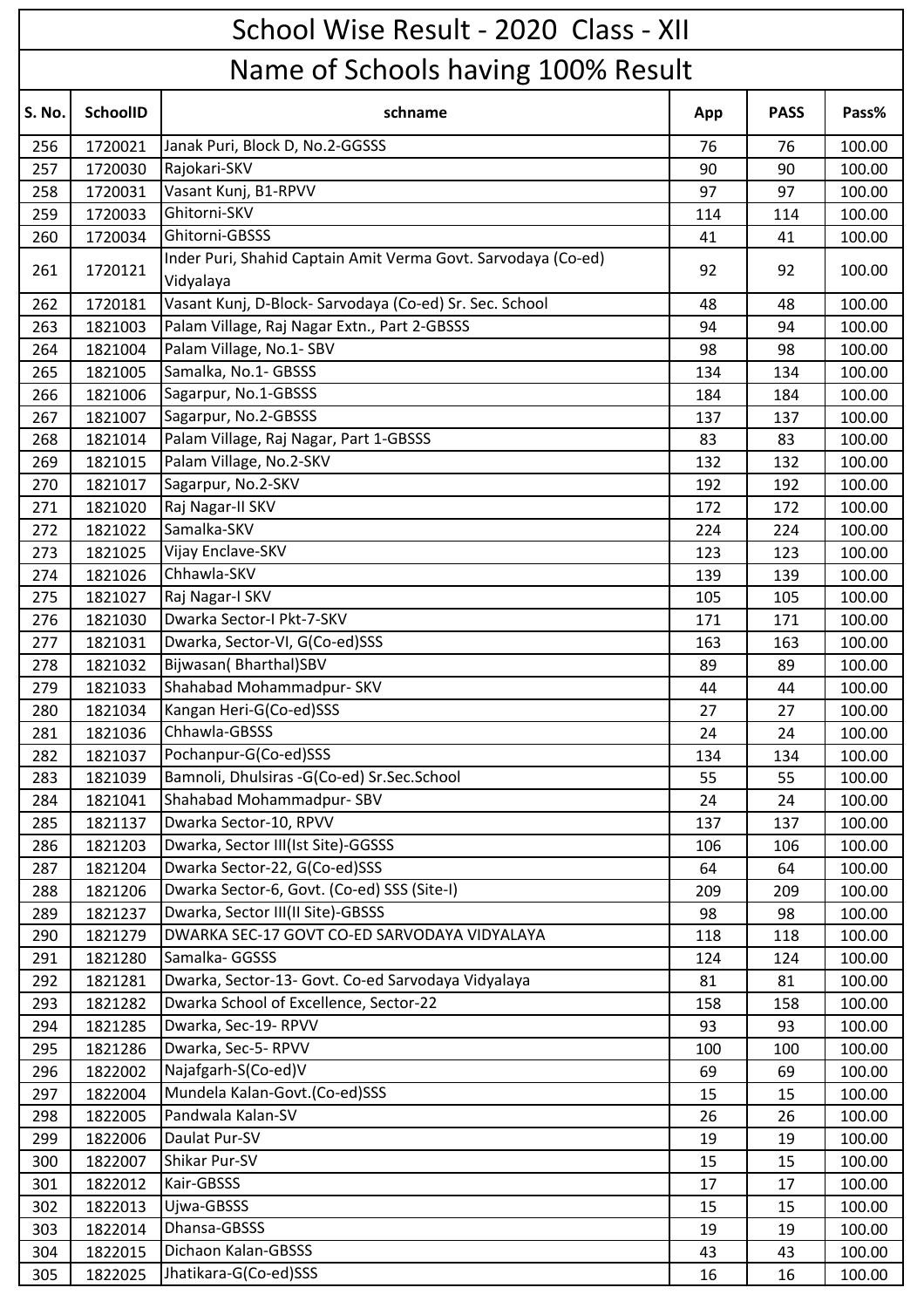## School Wise Result - 2020 Class - XII

## S. No. | SchoolID | **Research Schipmen App | PASS | Pass%** Name of Schools having 100% Result 256 | 1720021 | Janak Puri, Block D, No.2-GGSSS 76 76 176 100.00 257 | 1720030 |Rajokari-SKV | 90 | 90 | 100.00 258 1720031 Vasant Kunj, B1-RPVV 97 97 100.00 259 | 1720033 |Ghitorni-SKV 114 | 100.00 260 | 1720034 | Ghitorni-GBSSS | 1720034 | 41 | 41 | 41 | 42 | 400.00 261 1720121 Inder Puri, Shahid Captain Amit Verma Govt. Sarvodaya (Co-ed) wider Fari, shama esptam Amit Verma estat sartoasya (es ea, 1988 - 1992 - 100.000)<br>Vidyalaya 262 1720181 Vasant Kunj, D-Block- Sarvodaya (Co-ed) Sr. Sec. School 48 48 100.00 263 1821003 Palam Village, Raj Nagar Extn., Part 2-GBSSS 94 94 100.00 264 1821004 Palam Village, No.1- SBV 98 98 100.00 265 | 1821005 |Samalka, No.1- GBSSS | 1821005 | 134 | 100.00 266 1821006 Sagarpur, No.1-GBSSS 184 184 184 100.00 267 1821007 Sagarpur, No.2-GBSSS 137 137 137 100.00 268 | 1821014 | Palam Village, Raj Nagar, Part 1-GBSSS | 83 | 83 | 83 | 100.00 269 | 1821015 | Palam Village, No.2-SKV | 132 | 132 | 132 | 132 | 100.00 270 | 1821017 | Sagarpur, No.2-SKV | 192 | 192 | 100.00 271 | 1821020 | Raj Nagar-II SKV | 172 | 172 | 172 | 100.00 272 1821022 Samalka-SKV 224 224 100.00 273 1821025 Vijay Enclave-SKV 123 123 100.00 274 | 1821026 |Chhawla-SKV | 139 | 139 | 100.00 275 | 1821027 |Raj Nagar-I SKV | 105 | 105 | 100.00 276 | 1821030 |Dwarka Sector-I Pkt-7-SKV 171 | 171 | 171 | 171 | 100.00 277 | 1821031 | Dwarka, Sector-VI, G(Co-ed)SSS 163 163 | 163 | 163 | 163 | 100.00 278 | 1821032 |Bijwasan( Bharthal)SBV 89 | 89 | 100.00 279 | 1821033 | Shahabad Mohammadpur- SKV | 44 | 44 | 100.00 280 1821034 Kangan Heri-G(Co-ed)SSS 27 27 100.00 281 1821036 Chhawla-GBSSS 24 24 100.00 282 | 1821037 |Pochanpur-G(Co-ed)SSS | 1821037 | 134 | 100.00 283 1821039 Bamnoli, Dhulsiras -G(Co-ed) Sr.Sec.School 55 5 5 100.00 284 1821041 Shahabad Mohammadpur- SBV 24 24 100.00 285 | 1821137 | Dwarka Sector-10, RPVV | 137 | 137 | 137 | 100.00 286 1821203 Dwarka, Sector III(Ist Site)-GGSSS 106 106 106 106 100.00 287 | 1821204 |Dwarka Sector-22, G(Co-ed)SSS 64 | 64 | 64 | 100.00 288 1821206 Dwarka Sector-6, Govt. (Co-ed) SSS (Site-I) 200 100.00 209 100.00 289 1821237 Dwarka, Sector III(II Site)-GBSSS 98 98 98 100.00 290 | 1821279 | DWARKA SEC-17 GOVT CO-ED SARVODAYA VIDYALAYA 118 | 118 | 118 | 100.00 291 | 1821280 | Samalka- GGSSS | 1821280 | 1821280 | 124 | 100.00 292 | 1821281 | Dwarka, Sector-13- Govt. Co-ed Sarvodaya Vidyalaya 81 | 81 | 81 | 100.00 293 1821282 Dwarka School of Excellence, Sector-22 158 158 158 100.00 294 | 1821285 | Dwarka, Sec-19- RPVV | 93 | 93 | 100.00 295 1821286 Dwarka, Sec-5- RPVV 100 100 100 100 100.00 296 | 1822002 | Najafgarh-S(Co-ed) V 69 | 69 | 100.00 297 | 1822004 | Mundela Kalan-Govt. (Co-ed)SSS 15 16 15 15 15 15 100.00 298 1822005 Pandwala Kalan-SV 26 26 100.00 299 | 1822006 |Daulat Pur-SV | 19 | 19 | 100.00 300 | 1822007 | Shikar Pur-SV | 15 | 160.00 301 | 1822012 |Kair-GBSSS | 17 | 17 | 100.00 302 | 1822013 |Ujwa-GBSSS | 1822013 | 15 | 100.00 303 | 1822014 |Dhansa-GBSSS | 19 | 19 | 100.00 304 1822015 Dichaon Kalan-GBSSS 43 43 100.00 305 1822025 Jhatikara-G(Co-ed)SSS 16 16 100.00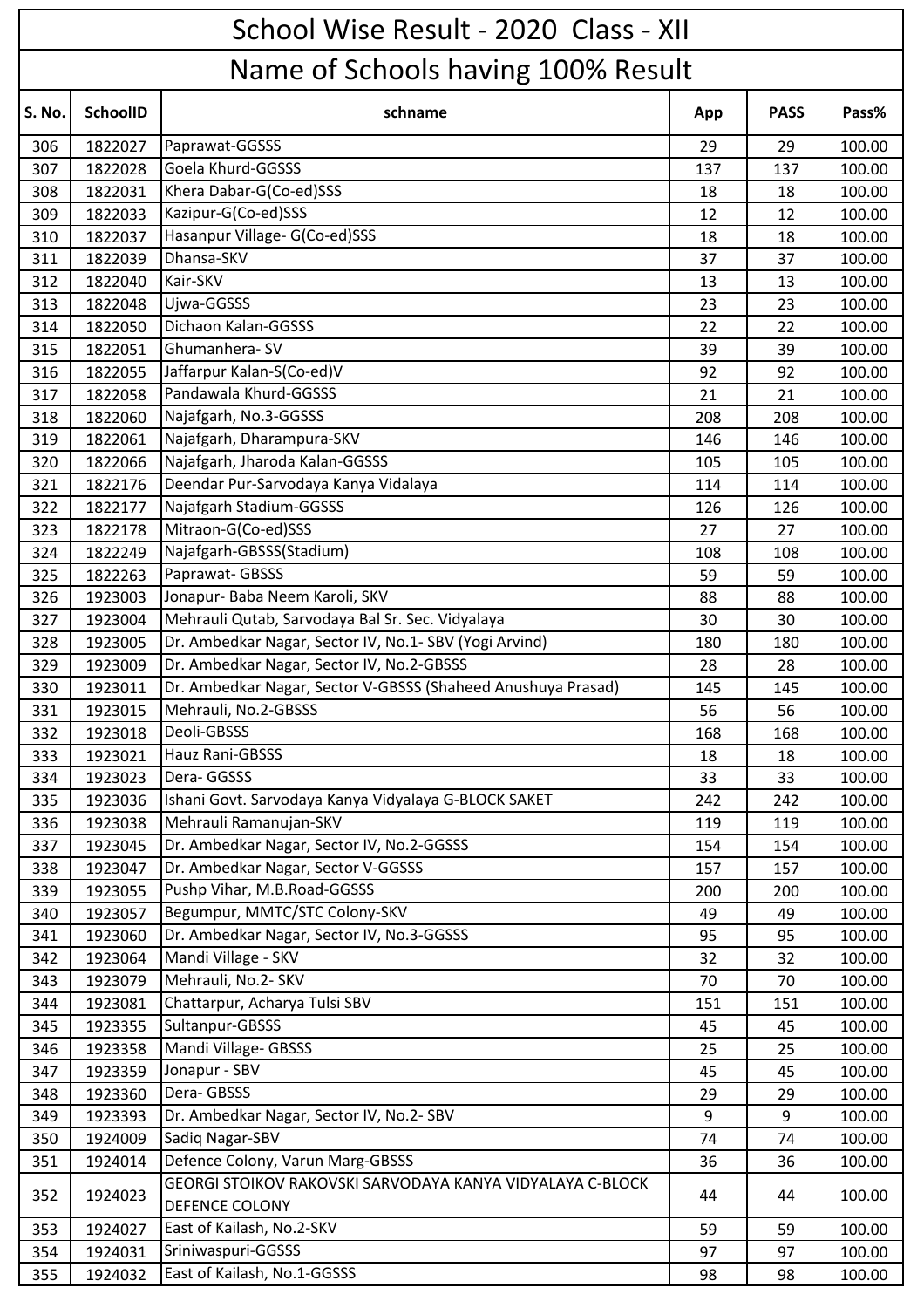| Name of Schools having 100% Result<br>S. No.<br><b>SchoolID</b><br>schname<br><b>PASS</b><br>Pass%<br>App<br>Paprawat-GGSSS<br>1822027<br>100.00<br>306<br>29<br>29<br>Goela Khurd-GGSSS<br>307<br>1822028<br>137<br>100.00<br>137<br>Khera Dabar-G(Co-ed)SSS<br>1822031<br>308<br>18<br>18<br>100.00<br>Kazipur-G(Co-ed)SSS<br>1822033<br>100.00<br>309<br>12<br>12<br>Hasanpur Village- G(Co-ed)SSS<br>310<br>1822037<br>18<br>100.00<br>18<br>Dhansa-SKV<br>100.00<br>311<br>1822039<br>37<br>37<br>Kair-SKV<br>1822040<br>312<br>13<br>100.00<br>13<br>Ujwa-GGSSS<br>313<br>1822048<br>100.00<br>23<br>23<br>Dichaon Kalan-GGSSS<br>1822050<br>22<br>22<br>100.00<br>314<br>Ghumanhera-SV<br>1822051<br>315<br>39<br>39<br>100.00<br>Jaffarpur Kalan-S(Co-ed)V<br>1822055<br>92<br>100.00<br>316<br>92<br>Pandawala Khurd-GGSSS<br>1822058<br>21<br>100.00<br>317<br>21<br>Najafgarh, No.3-GGSSS<br>1822060<br>100.00<br>318<br>208<br>208<br>Najafgarh, Dharampura-SKV<br>319<br>1822061<br>100.00<br>146<br>146<br>Najafgarh, Jharoda Kalan-GGSSS<br>320<br>1822066<br>105<br>100.00<br>105<br>Deendar Pur-Sarvodaya Kanya Vidalaya<br>1822176<br>321<br>100.00<br>114<br>114<br>Najafgarh Stadium-GGSSS<br>322<br>1822177<br>100.00<br>126<br>126<br>Mitraon-G(Co-ed)SSS<br>1822178<br>27<br>100.00<br>323<br>27<br>Najafgarh-GBSSS(Stadium)<br>1822249<br>100.00<br>324<br>108<br>108<br>Paprawat-GBSSS<br>1822263<br>100.00<br>325<br>59<br>59<br>Jonapur- Baba Neem Karoli, SKV<br>326<br>1923003<br>88<br>100.00<br>88<br>Mehrauli Qutab, Sarvodaya Bal Sr. Sec. Vidyalaya<br>1923004<br>100.00<br>327<br>30<br>30<br>Dr. Ambedkar Nagar, Sector IV, No.1- SBV (Yogi Arvind)<br>1923005<br>328<br>100.00<br>180<br>180<br>Dr. Ambedkar Nagar, Sector IV, No.2-GBSSS<br>329<br>1923009<br>100.00<br>28<br>28<br>Dr. Ambedkar Nagar, Sector V-GBSSS (Shaheed Anushuya Prasad)<br>100.00<br>330<br>1923011<br>145<br>145<br>Mehrauli, No.2-GBSSS<br>1923015<br>331<br>56<br>56<br>100.00<br>Deoli-GBSSS<br>332<br>1923018<br>100.00<br>168<br>168<br>Hauz Rani-GBSSS<br>333<br>1923021<br>100.00<br>18<br>18<br>Dera-GGSSS<br>1923023<br>100.00<br>334<br>33<br>33<br>Ishani Govt. Sarvodaya Kanya Vidyalaya G-BLOCK SAKET<br>1923036<br>335<br>100.00<br>242<br>242<br>Mehrauli Ramanujan-SKV<br>336<br>1923038<br>119<br>100.00<br>119<br>Dr. Ambedkar Nagar, Sector IV, No.2-GGSSS<br>337<br>1923045<br>100.00<br>154<br>154<br>Dr. Ambedkar Nagar, Sector V-GGSSS<br>338<br>1923047<br>100.00<br>157<br>157<br>Pushp Vihar, M.B.Road-GGSSS<br>339<br>1923055<br>100.00<br>200<br>200<br>Begumpur, MMTC/STC Colony-SKV<br>1923057<br>100.00<br>340<br>49<br>49<br>Dr. Ambedkar Nagar, Sector IV, No.3-GGSSS<br>1923060<br>95<br>95<br>100.00<br>341<br>Mandi Village - SKV<br>1923064<br>100.00<br>342<br>32<br>32<br>Mehrauli, No.2- SKV<br>1923079<br>100.00<br>343<br>70<br>70<br>Chattarpur, Acharya Tulsi SBV<br>1923081<br>100.00<br>344<br>151<br>151<br>Sultanpur-GBSSS<br>345<br>1923355<br>100.00<br>45<br>45<br>Mandi Village- GBSSS<br>1923358<br>100.00<br>346<br>25<br>25<br>Jonapur - SBV<br>1923359<br>100.00<br>347<br>45<br>45<br>Dera-GBSSS<br>1923360<br>29<br>100.00<br>348<br>29<br>Dr. Ambedkar Nagar, Sector IV, No.2- SBV<br>1923393<br>9<br>9<br>100.00<br>349<br>Sadiq Nagar-SBV<br>350<br>1924009<br>74<br>74<br>100.00<br>Defence Colony, Varun Marg-GBSSS<br>1924014<br>100.00<br>351<br>36<br>36<br>GEORGI STOIKOV RAKOVSKI SARVODAYA KANYA VIDYALAYA C-BLOCK<br>352<br>1924023<br>100.00<br>44<br>44<br>DEFENCE COLONY<br>East of Kailash, No.2-SKV<br>353<br>1924027<br>59<br>59<br>100.00<br>Sriniwaspuri-GGSSS<br>100.00<br>1924031<br>97<br>97<br>354<br>East of Kailash, No.1-GGSSS<br>355<br>1924032<br>98<br>98<br>100.00 | School Wise Result - 2020 Class - XII |  |  |  |  |  |  |  |
|-----------------------------------------------------------------------------------------------------------------------------------------------------------------------------------------------------------------------------------------------------------------------------------------------------------------------------------------------------------------------------------------------------------------------------------------------------------------------------------------------------------------------------------------------------------------------------------------------------------------------------------------------------------------------------------------------------------------------------------------------------------------------------------------------------------------------------------------------------------------------------------------------------------------------------------------------------------------------------------------------------------------------------------------------------------------------------------------------------------------------------------------------------------------------------------------------------------------------------------------------------------------------------------------------------------------------------------------------------------------------------------------------------------------------------------------------------------------------------------------------------------------------------------------------------------------------------------------------------------------------------------------------------------------------------------------------------------------------------------------------------------------------------------------------------------------------------------------------------------------------------------------------------------------------------------------------------------------------------------------------------------------------------------------------------------------------------------------------------------------------------------------------------------------------------------------------------------------------------------------------------------------------------------------------------------------------------------------------------------------------------------------------------------------------------------------------------------------------------------------------------------------------------------------------------------------------------------------------------------------------------------------------------------------------------------------------------------------------------------------------------------------------------------------------------------------------------------------------------------------------------------------------------------------------------------------------------------------------------------------------------------------------------------------------------------------------------------------------------------------------------------------------------------------------------------------------------------------------------------------------------------------------------------------------------------------------------------------------------------------------------------------------------------------------------------------------------------------------------------------------------------------------------------------------------------------------------------------------------------------------------------------------------------------------------------------------------------------------------------------------------------------------------|---------------------------------------|--|--|--|--|--|--|--|
|                                                                                                                                                                                                                                                                                                                                                                                                                                                                                                                                                                                                                                                                                                                                                                                                                                                                                                                                                                                                                                                                                                                                                                                                                                                                                                                                                                                                                                                                                                                                                                                                                                                                                                                                                                                                                                                                                                                                                                                                                                                                                                                                                                                                                                                                                                                                                                                                                                                                                                                                                                                                                                                                                                                                                                                                                                                                                                                                                                                                                                                                                                                                                                                                                                                                                                                                                                                                                                                                                                                                                                                                                                                                                                                                                                             |                                       |  |  |  |  |  |  |  |
|                                                                                                                                                                                                                                                                                                                                                                                                                                                                                                                                                                                                                                                                                                                                                                                                                                                                                                                                                                                                                                                                                                                                                                                                                                                                                                                                                                                                                                                                                                                                                                                                                                                                                                                                                                                                                                                                                                                                                                                                                                                                                                                                                                                                                                                                                                                                                                                                                                                                                                                                                                                                                                                                                                                                                                                                                                                                                                                                                                                                                                                                                                                                                                                                                                                                                                                                                                                                                                                                                                                                                                                                                                                                                                                                                                             |                                       |  |  |  |  |  |  |  |
|                                                                                                                                                                                                                                                                                                                                                                                                                                                                                                                                                                                                                                                                                                                                                                                                                                                                                                                                                                                                                                                                                                                                                                                                                                                                                                                                                                                                                                                                                                                                                                                                                                                                                                                                                                                                                                                                                                                                                                                                                                                                                                                                                                                                                                                                                                                                                                                                                                                                                                                                                                                                                                                                                                                                                                                                                                                                                                                                                                                                                                                                                                                                                                                                                                                                                                                                                                                                                                                                                                                                                                                                                                                                                                                                                                             |                                       |  |  |  |  |  |  |  |
|                                                                                                                                                                                                                                                                                                                                                                                                                                                                                                                                                                                                                                                                                                                                                                                                                                                                                                                                                                                                                                                                                                                                                                                                                                                                                                                                                                                                                                                                                                                                                                                                                                                                                                                                                                                                                                                                                                                                                                                                                                                                                                                                                                                                                                                                                                                                                                                                                                                                                                                                                                                                                                                                                                                                                                                                                                                                                                                                                                                                                                                                                                                                                                                                                                                                                                                                                                                                                                                                                                                                                                                                                                                                                                                                                                             |                                       |  |  |  |  |  |  |  |
|                                                                                                                                                                                                                                                                                                                                                                                                                                                                                                                                                                                                                                                                                                                                                                                                                                                                                                                                                                                                                                                                                                                                                                                                                                                                                                                                                                                                                                                                                                                                                                                                                                                                                                                                                                                                                                                                                                                                                                                                                                                                                                                                                                                                                                                                                                                                                                                                                                                                                                                                                                                                                                                                                                                                                                                                                                                                                                                                                                                                                                                                                                                                                                                                                                                                                                                                                                                                                                                                                                                                                                                                                                                                                                                                                                             |                                       |  |  |  |  |  |  |  |
|                                                                                                                                                                                                                                                                                                                                                                                                                                                                                                                                                                                                                                                                                                                                                                                                                                                                                                                                                                                                                                                                                                                                                                                                                                                                                                                                                                                                                                                                                                                                                                                                                                                                                                                                                                                                                                                                                                                                                                                                                                                                                                                                                                                                                                                                                                                                                                                                                                                                                                                                                                                                                                                                                                                                                                                                                                                                                                                                                                                                                                                                                                                                                                                                                                                                                                                                                                                                                                                                                                                                                                                                                                                                                                                                                                             |                                       |  |  |  |  |  |  |  |
|                                                                                                                                                                                                                                                                                                                                                                                                                                                                                                                                                                                                                                                                                                                                                                                                                                                                                                                                                                                                                                                                                                                                                                                                                                                                                                                                                                                                                                                                                                                                                                                                                                                                                                                                                                                                                                                                                                                                                                                                                                                                                                                                                                                                                                                                                                                                                                                                                                                                                                                                                                                                                                                                                                                                                                                                                                                                                                                                                                                                                                                                                                                                                                                                                                                                                                                                                                                                                                                                                                                                                                                                                                                                                                                                                                             |                                       |  |  |  |  |  |  |  |
|                                                                                                                                                                                                                                                                                                                                                                                                                                                                                                                                                                                                                                                                                                                                                                                                                                                                                                                                                                                                                                                                                                                                                                                                                                                                                                                                                                                                                                                                                                                                                                                                                                                                                                                                                                                                                                                                                                                                                                                                                                                                                                                                                                                                                                                                                                                                                                                                                                                                                                                                                                                                                                                                                                                                                                                                                                                                                                                                                                                                                                                                                                                                                                                                                                                                                                                                                                                                                                                                                                                                                                                                                                                                                                                                                                             |                                       |  |  |  |  |  |  |  |
|                                                                                                                                                                                                                                                                                                                                                                                                                                                                                                                                                                                                                                                                                                                                                                                                                                                                                                                                                                                                                                                                                                                                                                                                                                                                                                                                                                                                                                                                                                                                                                                                                                                                                                                                                                                                                                                                                                                                                                                                                                                                                                                                                                                                                                                                                                                                                                                                                                                                                                                                                                                                                                                                                                                                                                                                                                                                                                                                                                                                                                                                                                                                                                                                                                                                                                                                                                                                                                                                                                                                                                                                                                                                                                                                                                             |                                       |  |  |  |  |  |  |  |
|                                                                                                                                                                                                                                                                                                                                                                                                                                                                                                                                                                                                                                                                                                                                                                                                                                                                                                                                                                                                                                                                                                                                                                                                                                                                                                                                                                                                                                                                                                                                                                                                                                                                                                                                                                                                                                                                                                                                                                                                                                                                                                                                                                                                                                                                                                                                                                                                                                                                                                                                                                                                                                                                                                                                                                                                                                                                                                                                                                                                                                                                                                                                                                                                                                                                                                                                                                                                                                                                                                                                                                                                                                                                                                                                                                             |                                       |  |  |  |  |  |  |  |
|                                                                                                                                                                                                                                                                                                                                                                                                                                                                                                                                                                                                                                                                                                                                                                                                                                                                                                                                                                                                                                                                                                                                                                                                                                                                                                                                                                                                                                                                                                                                                                                                                                                                                                                                                                                                                                                                                                                                                                                                                                                                                                                                                                                                                                                                                                                                                                                                                                                                                                                                                                                                                                                                                                                                                                                                                                                                                                                                                                                                                                                                                                                                                                                                                                                                                                                                                                                                                                                                                                                                                                                                                                                                                                                                                                             |                                       |  |  |  |  |  |  |  |
|                                                                                                                                                                                                                                                                                                                                                                                                                                                                                                                                                                                                                                                                                                                                                                                                                                                                                                                                                                                                                                                                                                                                                                                                                                                                                                                                                                                                                                                                                                                                                                                                                                                                                                                                                                                                                                                                                                                                                                                                                                                                                                                                                                                                                                                                                                                                                                                                                                                                                                                                                                                                                                                                                                                                                                                                                                                                                                                                                                                                                                                                                                                                                                                                                                                                                                                                                                                                                                                                                                                                                                                                                                                                                                                                                                             |                                       |  |  |  |  |  |  |  |
|                                                                                                                                                                                                                                                                                                                                                                                                                                                                                                                                                                                                                                                                                                                                                                                                                                                                                                                                                                                                                                                                                                                                                                                                                                                                                                                                                                                                                                                                                                                                                                                                                                                                                                                                                                                                                                                                                                                                                                                                                                                                                                                                                                                                                                                                                                                                                                                                                                                                                                                                                                                                                                                                                                                                                                                                                                                                                                                                                                                                                                                                                                                                                                                                                                                                                                                                                                                                                                                                                                                                                                                                                                                                                                                                                                             |                                       |  |  |  |  |  |  |  |
|                                                                                                                                                                                                                                                                                                                                                                                                                                                                                                                                                                                                                                                                                                                                                                                                                                                                                                                                                                                                                                                                                                                                                                                                                                                                                                                                                                                                                                                                                                                                                                                                                                                                                                                                                                                                                                                                                                                                                                                                                                                                                                                                                                                                                                                                                                                                                                                                                                                                                                                                                                                                                                                                                                                                                                                                                                                                                                                                                                                                                                                                                                                                                                                                                                                                                                                                                                                                                                                                                                                                                                                                                                                                                                                                                                             |                                       |  |  |  |  |  |  |  |
|                                                                                                                                                                                                                                                                                                                                                                                                                                                                                                                                                                                                                                                                                                                                                                                                                                                                                                                                                                                                                                                                                                                                                                                                                                                                                                                                                                                                                                                                                                                                                                                                                                                                                                                                                                                                                                                                                                                                                                                                                                                                                                                                                                                                                                                                                                                                                                                                                                                                                                                                                                                                                                                                                                                                                                                                                                                                                                                                                                                                                                                                                                                                                                                                                                                                                                                                                                                                                                                                                                                                                                                                                                                                                                                                                                             |                                       |  |  |  |  |  |  |  |
|                                                                                                                                                                                                                                                                                                                                                                                                                                                                                                                                                                                                                                                                                                                                                                                                                                                                                                                                                                                                                                                                                                                                                                                                                                                                                                                                                                                                                                                                                                                                                                                                                                                                                                                                                                                                                                                                                                                                                                                                                                                                                                                                                                                                                                                                                                                                                                                                                                                                                                                                                                                                                                                                                                                                                                                                                                                                                                                                                                                                                                                                                                                                                                                                                                                                                                                                                                                                                                                                                                                                                                                                                                                                                                                                                                             |                                       |  |  |  |  |  |  |  |
|                                                                                                                                                                                                                                                                                                                                                                                                                                                                                                                                                                                                                                                                                                                                                                                                                                                                                                                                                                                                                                                                                                                                                                                                                                                                                                                                                                                                                                                                                                                                                                                                                                                                                                                                                                                                                                                                                                                                                                                                                                                                                                                                                                                                                                                                                                                                                                                                                                                                                                                                                                                                                                                                                                                                                                                                                                                                                                                                                                                                                                                                                                                                                                                                                                                                                                                                                                                                                                                                                                                                                                                                                                                                                                                                                                             |                                       |  |  |  |  |  |  |  |
|                                                                                                                                                                                                                                                                                                                                                                                                                                                                                                                                                                                                                                                                                                                                                                                                                                                                                                                                                                                                                                                                                                                                                                                                                                                                                                                                                                                                                                                                                                                                                                                                                                                                                                                                                                                                                                                                                                                                                                                                                                                                                                                                                                                                                                                                                                                                                                                                                                                                                                                                                                                                                                                                                                                                                                                                                                                                                                                                                                                                                                                                                                                                                                                                                                                                                                                                                                                                                                                                                                                                                                                                                                                                                                                                                                             |                                       |  |  |  |  |  |  |  |
|                                                                                                                                                                                                                                                                                                                                                                                                                                                                                                                                                                                                                                                                                                                                                                                                                                                                                                                                                                                                                                                                                                                                                                                                                                                                                                                                                                                                                                                                                                                                                                                                                                                                                                                                                                                                                                                                                                                                                                                                                                                                                                                                                                                                                                                                                                                                                                                                                                                                                                                                                                                                                                                                                                                                                                                                                                                                                                                                                                                                                                                                                                                                                                                                                                                                                                                                                                                                                                                                                                                                                                                                                                                                                                                                                                             |                                       |  |  |  |  |  |  |  |
|                                                                                                                                                                                                                                                                                                                                                                                                                                                                                                                                                                                                                                                                                                                                                                                                                                                                                                                                                                                                                                                                                                                                                                                                                                                                                                                                                                                                                                                                                                                                                                                                                                                                                                                                                                                                                                                                                                                                                                                                                                                                                                                                                                                                                                                                                                                                                                                                                                                                                                                                                                                                                                                                                                                                                                                                                                                                                                                                                                                                                                                                                                                                                                                                                                                                                                                                                                                                                                                                                                                                                                                                                                                                                                                                                                             |                                       |  |  |  |  |  |  |  |
|                                                                                                                                                                                                                                                                                                                                                                                                                                                                                                                                                                                                                                                                                                                                                                                                                                                                                                                                                                                                                                                                                                                                                                                                                                                                                                                                                                                                                                                                                                                                                                                                                                                                                                                                                                                                                                                                                                                                                                                                                                                                                                                                                                                                                                                                                                                                                                                                                                                                                                                                                                                                                                                                                                                                                                                                                                                                                                                                                                                                                                                                                                                                                                                                                                                                                                                                                                                                                                                                                                                                                                                                                                                                                                                                                                             |                                       |  |  |  |  |  |  |  |
|                                                                                                                                                                                                                                                                                                                                                                                                                                                                                                                                                                                                                                                                                                                                                                                                                                                                                                                                                                                                                                                                                                                                                                                                                                                                                                                                                                                                                                                                                                                                                                                                                                                                                                                                                                                                                                                                                                                                                                                                                                                                                                                                                                                                                                                                                                                                                                                                                                                                                                                                                                                                                                                                                                                                                                                                                                                                                                                                                                                                                                                                                                                                                                                                                                                                                                                                                                                                                                                                                                                                                                                                                                                                                                                                                                             |                                       |  |  |  |  |  |  |  |
|                                                                                                                                                                                                                                                                                                                                                                                                                                                                                                                                                                                                                                                                                                                                                                                                                                                                                                                                                                                                                                                                                                                                                                                                                                                                                                                                                                                                                                                                                                                                                                                                                                                                                                                                                                                                                                                                                                                                                                                                                                                                                                                                                                                                                                                                                                                                                                                                                                                                                                                                                                                                                                                                                                                                                                                                                                                                                                                                                                                                                                                                                                                                                                                                                                                                                                                                                                                                                                                                                                                                                                                                                                                                                                                                                                             |                                       |  |  |  |  |  |  |  |
|                                                                                                                                                                                                                                                                                                                                                                                                                                                                                                                                                                                                                                                                                                                                                                                                                                                                                                                                                                                                                                                                                                                                                                                                                                                                                                                                                                                                                                                                                                                                                                                                                                                                                                                                                                                                                                                                                                                                                                                                                                                                                                                                                                                                                                                                                                                                                                                                                                                                                                                                                                                                                                                                                                                                                                                                                                                                                                                                                                                                                                                                                                                                                                                                                                                                                                                                                                                                                                                                                                                                                                                                                                                                                                                                                                             |                                       |  |  |  |  |  |  |  |
|                                                                                                                                                                                                                                                                                                                                                                                                                                                                                                                                                                                                                                                                                                                                                                                                                                                                                                                                                                                                                                                                                                                                                                                                                                                                                                                                                                                                                                                                                                                                                                                                                                                                                                                                                                                                                                                                                                                                                                                                                                                                                                                                                                                                                                                                                                                                                                                                                                                                                                                                                                                                                                                                                                                                                                                                                                                                                                                                                                                                                                                                                                                                                                                                                                                                                                                                                                                                                                                                                                                                                                                                                                                                                                                                                                             |                                       |  |  |  |  |  |  |  |
|                                                                                                                                                                                                                                                                                                                                                                                                                                                                                                                                                                                                                                                                                                                                                                                                                                                                                                                                                                                                                                                                                                                                                                                                                                                                                                                                                                                                                                                                                                                                                                                                                                                                                                                                                                                                                                                                                                                                                                                                                                                                                                                                                                                                                                                                                                                                                                                                                                                                                                                                                                                                                                                                                                                                                                                                                                                                                                                                                                                                                                                                                                                                                                                                                                                                                                                                                                                                                                                                                                                                                                                                                                                                                                                                                                             |                                       |  |  |  |  |  |  |  |
|                                                                                                                                                                                                                                                                                                                                                                                                                                                                                                                                                                                                                                                                                                                                                                                                                                                                                                                                                                                                                                                                                                                                                                                                                                                                                                                                                                                                                                                                                                                                                                                                                                                                                                                                                                                                                                                                                                                                                                                                                                                                                                                                                                                                                                                                                                                                                                                                                                                                                                                                                                                                                                                                                                                                                                                                                                                                                                                                                                                                                                                                                                                                                                                                                                                                                                                                                                                                                                                                                                                                                                                                                                                                                                                                                                             |                                       |  |  |  |  |  |  |  |
|                                                                                                                                                                                                                                                                                                                                                                                                                                                                                                                                                                                                                                                                                                                                                                                                                                                                                                                                                                                                                                                                                                                                                                                                                                                                                                                                                                                                                                                                                                                                                                                                                                                                                                                                                                                                                                                                                                                                                                                                                                                                                                                                                                                                                                                                                                                                                                                                                                                                                                                                                                                                                                                                                                                                                                                                                                                                                                                                                                                                                                                                                                                                                                                                                                                                                                                                                                                                                                                                                                                                                                                                                                                                                                                                                                             |                                       |  |  |  |  |  |  |  |
|                                                                                                                                                                                                                                                                                                                                                                                                                                                                                                                                                                                                                                                                                                                                                                                                                                                                                                                                                                                                                                                                                                                                                                                                                                                                                                                                                                                                                                                                                                                                                                                                                                                                                                                                                                                                                                                                                                                                                                                                                                                                                                                                                                                                                                                                                                                                                                                                                                                                                                                                                                                                                                                                                                                                                                                                                                                                                                                                                                                                                                                                                                                                                                                                                                                                                                                                                                                                                                                                                                                                                                                                                                                                                                                                                                             |                                       |  |  |  |  |  |  |  |
|                                                                                                                                                                                                                                                                                                                                                                                                                                                                                                                                                                                                                                                                                                                                                                                                                                                                                                                                                                                                                                                                                                                                                                                                                                                                                                                                                                                                                                                                                                                                                                                                                                                                                                                                                                                                                                                                                                                                                                                                                                                                                                                                                                                                                                                                                                                                                                                                                                                                                                                                                                                                                                                                                                                                                                                                                                                                                                                                                                                                                                                                                                                                                                                                                                                                                                                                                                                                                                                                                                                                                                                                                                                                                                                                                                             |                                       |  |  |  |  |  |  |  |
|                                                                                                                                                                                                                                                                                                                                                                                                                                                                                                                                                                                                                                                                                                                                                                                                                                                                                                                                                                                                                                                                                                                                                                                                                                                                                                                                                                                                                                                                                                                                                                                                                                                                                                                                                                                                                                                                                                                                                                                                                                                                                                                                                                                                                                                                                                                                                                                                                                                                                                                                                                                                                                                                                                                                                                                                                                                                                                                                                                                                                                                                                                                                                                                                                                                                                                                                                                                                                                                                                                                                                                                                                                                                                                                                                                             |                                       |  |  |  |  |  |  |  |
|                                                                                                                                                                                                                                                                                                                                                                                                                                                                                                                                                                                                                                                                                                                                                                                                                                                                                                                                                                                                                                                                                                                                                                                                                                                                                                                                                                                                                                                                                                                                                                                                                                                                                                                                                                                                                                                                                                                                                                                                                                                                                                                                                                                                                                                                                                                                                                                                                                                                                                                                                                                                                                                                                                                                                                                                                                                                                                                                                                                                                                                                                                                                                                                                                                                                                                                                                                                                                                                                                                                                                                                                                                                                                                                                                                             |                                       |  |  |  |  |  |  |  |
|                                                                                                                                                                                                                                                                                                                                                                                                                                                                                                                                                                                                                                                                                                                                                                                                                                                                                                                                                                                                                                                                                                                                                                                                                                                                                                                                                                                                                                                                                                                                                                                                                                                                                                                                                                                                                                                                                                                                                                                                                                                                                                                                                                                                                                                                                                                                                                                                                                                                                                                                                                                                                                                                                                                                                                                                                                                                                                                                                                                                                                                                                                                                                                                                                                                                                                                                                                                                                                                                                                                                                                                                                                                                                                                                                                             |                                       |  |  |  |  |  |  |  |
|                                                                                                                                                                                                                                                                                                                                                                                                                                                                                                                                                                                                                                                                                                                                                                                                                                                                                                                                                                                                                                                                                                                                                                                                                                                                                                                                                                                                                                                                                                                                                                                                                                                                                                                                                                                                                                                                                                                                                                                                                                                                                                                                                                                                                                                                                                                                                                                                                                                                                                                                                                                                                                                                                                                                                                                                                                                                                                                                                                                                                                                                                                                                                                                                                                                                                                                                                                                                                                                                                                                                                                                                                                                                                                                                                                             |                                       |  |  |  |  |  |  |  |
|                                                                                                                                                                                                                                                                                                                                                                                                                                                                                                                                                                                                                                                                                                                                                                                                                                                                                                                                                                                                                                                                                                                                                                                                                                                                                                                                                                                                                                                                                                                                                                                                                                                                                                                                                                                                                                                                                                                                                                                                                                                                                                                                                                                                                                                                                                                                                                                                                                                                                                                                                                                                                                                                                                                                                                                                                                                                                                                                                                                                                                                                                                                                                                                                                                                                                                                                                                                                                                                                                                                                                                                                                                                                                                                                                                             |                                       |  |  |  |  |  |  |  |
|                                                                                                                                                                                                                                                                                                                                                                                                                                                                                                                                                                                                                                                                                                                                                                                                                                                                                                                                                                                                                                                                                                                                                                                                                                                                                                                                                                                                                                                                                                                                                                                                                                                                                                                                                                                                                                                                                                                                                                                                                                                                                                                                                                                                                                                                                                                                                                                                                                                                                                                                                                                                                                                                                                                                                                                                                                                                                                                                                                                                                                                                                                                                                                                                                                                                                                                                                                                                                                                                                                                                                                                                                                                                                                                                                                             |                                       |  |  |  |  |  |  |  |
|                                                                                                                                                                                                                                                                                                                                                                                                                                                                                                                                                                                                                                                                                                                                                                                                                                                                                                                                                                                                                                                                                                                                                                                                                                                                                                                                                                                                                                                                                                                                                                                                                                                                                                                                                                                                                                                                                                                                                                                                                                                                                                                                                                                                                                                                                                                                                                                                                                                                                                                                                                                                                                                                                                                                                                                                                                                                                                                                                                                                                                                                                                                                                                                                                                                                                                                                                                                                                                                                                                                                                                                                                                                                                                                                                                             |                                       |  |  |  |  |  |  |  |
|                                                                                                                                                                                                                                                                                                                                                                                                                                                                                                                                                                                                                                                                                                                                                                                                                                                                                                                                                                                                                                                                                                                                                                                                                                                                                                                                                                                                                                                                                                                                                                                                                                                                                                                                                                                                                                                                                                                                                                                                                                                                                                                                                                                                                                                                                                                                                                                                                                                                                                                                                                                                                                                                                                                                                                                                                                                                                                                                                                                                                                                                                                                                                                                                                                                                                                                                                                                                                                                                                                                                                                                                                                                                                                                                                                             |                                       |  |  |  |  |  |  |  |
|                                                                                                                                                                                                                                                                                                                                                                                                                                                                                                                                                                                                                                                                                                                                                                                                                                                                                                                                                                                                                                                                                                                                                                                                                                                                                                                                                                                                                                                                                                                                                                                                                                                                                                                                                                                                                                                                                                                                                                                                                                                                                                                                                                                                                                                                                                                                                                                                                                                                                                                                                                                                                                                                                                                                                                                                                                                                                                                                                                                                                                                                                                                                                                                                                                                                                                                                                                                                                                                                                                                                                                                                                                                                                                                                                                             |                                       |  |  |  |  |  |  |  |
|                                                                                                                                                                                                                                                                                                                                                                                                                                                                                                                                                                                                                                                                                                                                                                                                                                                                                                                                                                                                                                                                                                                                                                                                                                                                                                                                                                                                                                                                                                                                                                                                                                                                                                                                                                                                                                                                                                                                                                                                                                                                                                                                                                                                                                                                                                                                                                                                                                                                                                                                                                                                                                                                                                                                                                                                                                                                                                                                                                                                                                                                                                                                                                                                                                                                                                                                                                                                                                                                                                                                                                                                                                                                                                                                                                             |                                       |  |  |  |  |  |  |  |
|                                                                                                                                                                                                                                                                                                                                                                                                                                                                                                                                                                                                                                                                                                                                                                                                                                                                                                                                                                                                                                                                                                                                                                                                                                                                                                                                                                                                                                                                                                                                                                                                                                                                                                                                                                                                                                                                                                                                                                                                                                                                                                                                                                                                                                                                                                                                                                                                                                                                                                                                                                                                                                                                                                                                                                                                                                                                                                                                                                                                                                                                                                                                                                                                                                                                                                                                                                                                                                                                                                                                                                                                                                                                                                                                                                             |                                       |  |  |  |  |  |  |  |
|                                                                                                                                                                                                                                                                                                                                                                                                                                                                                                                                                                                                                                                                                                                                                                                                                                                                                                                                                                                                                                                                                                                                                                                                                                                                                                                                                                                                                                                                                                                                                                                                                                                                                                                                                                                                                                                                                                                                                                                                                                                                                                                                                                                                                                                                                                                                                                                                                                                                                                                                                                                                                                                                                                                                                                                                                                                                                                                                                                                                                                                                                                                                                                                                                                                                                                                                                                                                                                                                                                                                                                                                                                                                                                                                                                             |                                       |  |  |  |  |  |  |  |
|                                                                                                                                                                                                                                                                                                                                                                                                                                                                                                                                                                                                                                                                                                                                                                                                                                                                                                                                                                                                                                                                                                                                                                                                                                                                                                                                                                                                                                                                                                                                                                                                                                                                                                                                                                                                                                                                                                                                                                                                                                                                                                                                                                                                                                                                                                                                                                                                                                                                                                                                                                                                                                                                                                                                                                                                                                                                                                                                                                                                                                                                                                                                                                                                                                                                                                                                                                                                                                                                                                                                                                                                                                                                                                                                                                             |                                       |  |  |  |  |  |  |  |
|                                                                                                                                                                                                                                                                                                                                                                                                                                                                                                                                                                                                                                                                                                                                                                                                                                                                                                                                                                                                                                                                                                                                                                                                                                                                                                                                                                                                                                                                                                                                                                                                                                                                                                                                                                                                                                                                                                                                                                                                                                                                                                                                                                                                                                                                                                                                                                                                                                                                                                                                                                                                                                                                                                                                                                                                                                                                                                                                                                                                                                                                                                                                                                                                                                                                                                                                                                                                                                                                                                                                                                                                                                                                                                                                                                             |                                       |  |  |  |  |  |  |  |
|                                                                                                                                                                                                                                                                                                                                                                                                                                                                                                                                                                                                                                                                                                                                                                                                                                                                                                                                                                                                                                                                                                                                                                                                                                                                                                                                                                                                                                                                                                                                                                                                                                                                                                                                                                                                                                                                                                                                                                                                                                                                                                                                                                                                                                                                                                                                                                                                                                                                                                                                                                                                                                                                                                                                                                                                                                                                                                                                                                                                                                                                                                                                                                                                                                                                                                                                                                                                                                                                                                                                                                                                                                                                                                                                                                             |                                       |  |  |  |  |  |  |  |
|                                                                                                                                                                                                                                                                                                                                                                                                                                                                                                                                                                                                                                                                                                                                                                                                                                                                                                                                                                                                                                                                                                                                                                                                                                                                                                                                                                                                                                                                                                                                                                                                                                                                                                                                                                                                                                                                                                                                                                                                                                                                                                                                                                                                                                                                                                                                                                                                                                                                                                                                                                                                                                                                                                                                                                                                                                                                                                                                                                                                                                                                                                                                                                                                                                                                                                                                                                                                                                                                                                                                                                                                                                                                                                                                                                             |                                       |  |  |  |  |  |  |  |
|                                                                                                                                                                                                                                                                                                                                                                                                                                                                                                                                                                                                                                                                                                                                                                                                                                                                                                                                                                                                                                                                                                                                                                                                                                                                                                                                                                                                                                                                                                                                                                                                                                                                                                                                                                                                                                                                                                                                                                                                                                                                                                                                                                                                                                                                                                                                                                                                                                                                                                                                                                                                                                                                                                                                                                                                                                                                                                                                                                                                                                                                                                                                                                                                                                                                                                                                                                                                                                                                                                                                                                                                                                                                                                                                                                             |                                       |  |  |  |  |  |  |  |
|                                                                                                                                                                                                                                                                                                                                                                                                                                                                                                                                                                                                                                                                                                                                                                                                                                                                                                                                                                                                                                                                                                                                                                                                                                                                                                                                                                                                                                                                                                                                                                                                                                                                                                                                                                                                                                                                                                                                                                                                                                                                                                                                                                                                                                                                                                                                                                                                                                                                                                                                                                                                                                                                                                                                                                                                                                                                                                                                                                                                                                                                                                                                                                                                                                                                                                                                                                                                                                                                                                                                                                                                                                                                                                                                                                             |                                       |  |  |  |  |  |  |  |
|                                                                                                                                                                                                                                                                                                                                                                                                                                                                                                                                                                                                                                                                                                                                                                                                                                                                                                                                                                                                                                                                                                                                                                                                                                                                                                                                                                                                                                                                                                                                                                                                                                                                                                                                                                                                                                                                                                                                                                                                                                                                                                                                                                                                                                                                                                                                                                                                                                                                                                                                                                                                                                                                                                                                                                                                                                                                                                                                                                                                                                                                                                                                                                                                                                                                                                                                                                                                                                                                                                                                                                                                                                                                                                                                                                             |                                       |  |  |  |  |  |  |  |
|                                                                                                                                                                                                                                                                                                                                                                                                                                                                                                                                                                                                                                                                                                                                                                                                                                                                                                                                                                                                                                                                                                                                                                                                                                                                                                                                                                                                                                                                                                                                                                                                                                                                                                                                                                                                                                                                                                                                                                                                                                                                                                                                                                                                                                                                                                                                                                                                                                                                                                                                                                                                                                                                                                                                                                                                                                                                                                                                                                                                                                                                                                                                                                                                                                                                                                                                                                                                                                                                                                                                                                                                                                                                                                                                                                             |                                       |  |  |  |  |  |  |  |
|                                                                                                                                                                                                                                                                                                                                                                                                                                                                                                                                                                                                                                                                                                                                                                                                                                                                                                                                                                                                                                                                                                                                                                                                                                                                                                                                                                                                                                                                                                                                                                                                                                                                                                                                                                                                                                                                                                                                                                                                                                                                                                                                                                                                                                                                                                                                                                                                                                                                                                                                                                                                                                                                                                                                                                                                                                                                                                                                                                                                                                                                                                                                                                                                                                                                                                                                                                                                                                                                                                                                                                                                                                                                                                                                                                             |                                       |  |  |  |  |  |  |  |
|                                                                                                                                                                                                                                                                                                                                                                                                                                                                                                                                                                                                                                                                                                                                                                                                                                                                                                                                                                                                                                                                                                                                                                                                                                                                                                                                                                                                                                                                                                                                                                                                                                                                                                                                                                                                                                                                                                                                                                                                                                                                                                                                                                                                                                                                                                                                                                                                                                                                                                                                                                                                                                                                                                                                                                                                                                                                                                                                                                                                                                                                                                                                                                                                                                                                                                                                                                                                                                                                                                                                                                                                                                                                                                                                                                             |                                       |  |  |  |  |  |  |  |